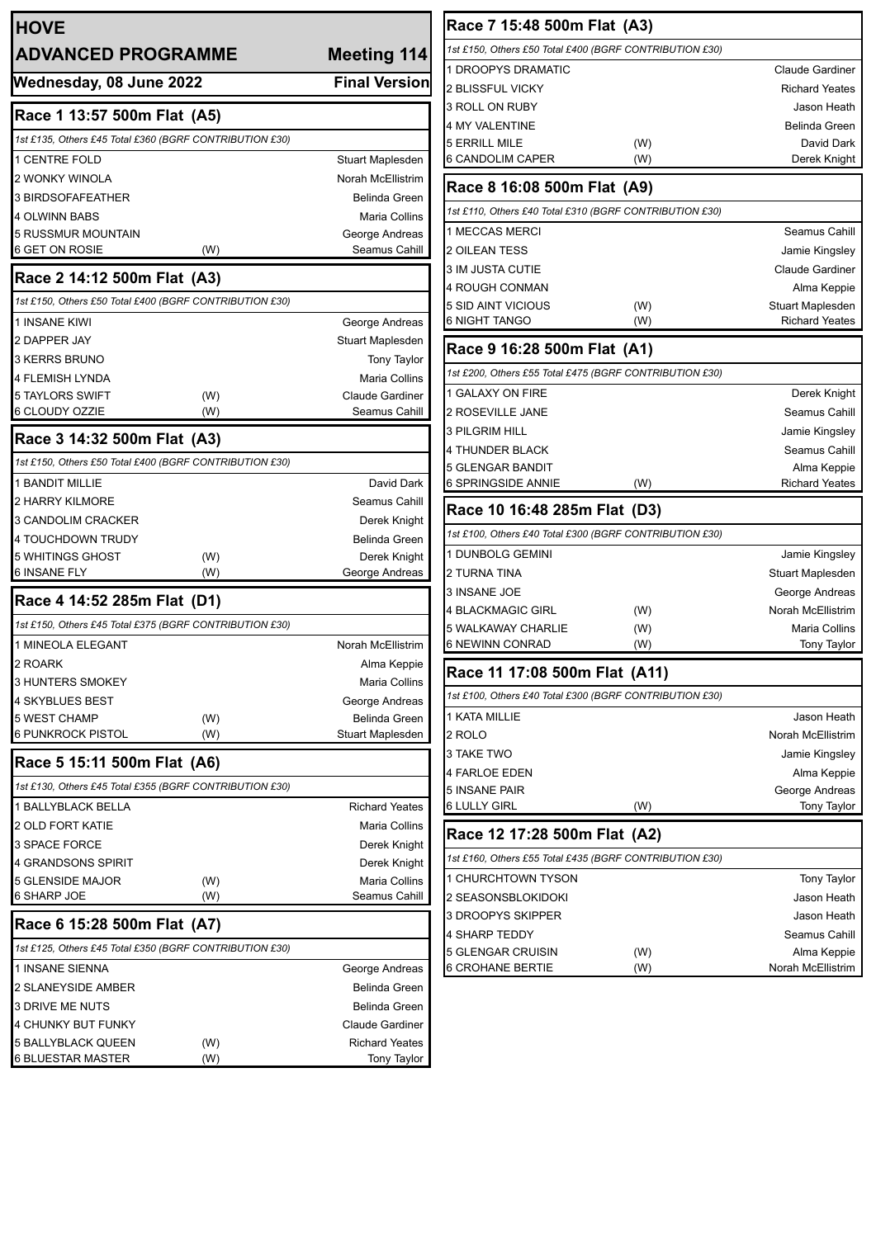| <b>HOVE</b>                                             |            |                                       |  |  |
|---------------------------------------------------------|------------|---------------------------------------|--|--|
| <b>ADVANCED PROGRAMME</b>                               |            | <b>Meeting 114</b>                    |  |  |
| Wednesday, 08 June 2022                                 |            | <b>Final Version</b>                  |  |  |
| Race 1 13:57 500m Flat (A5)                             |            |                                       |  |  |
| 1st £135, Others £45 Total £360 (BGRF CONTRIBUTION £30) |            |                                       |  |  |
| 1 CENTRE FOLD                                           |            |                                       |  |  |
| 2 WONKY WINOLA                                          |            | Stuart Maplesden<br>Norah McEllistrim |  |  |
| <b>3 BIRDSOFAFEATHER</b>                                |            | Belinda Green                         |  |  |
| <b>4 OLWINN BABS</b>                                    |            | Maria Collins                         |  |  |
| <b>5 RUSSMUR MOUNTAIN</b>                               |            | George Andreas                        |  |  |
| 6 GET ON ROSIE                                          | (W)        | Seamus Cahill                         |  |  |
| Race 2 14:12 500m Flat (A3)                             |            |                                       |  |  |
| 1st £150, Others £50 Total £400 (BGRF CONTRIBUTION £30) |            |                                       |  |  |
| <b>1 INSANE KIWI</b>                                    |            | George Andreas                        |  |  |
| 2 DAPPER JAY                                            |            | Stuart Maplesden                      |  |  |
| <b>3 KERRS BRUNO</b>                                    |            | <b>Tony Taylor</b>                    |  |  |
| 4 FLEMISH LYNDA                                         |            | Maria Collins                         |  |  |
| <b>5 TAYLORS SWIFT</b>                                  | (W)        | <b>Claude Gardiner</b>                |  |  |
| 6 CLOUDY OZZIE                                          | (W)        | Seamus Cahill                         |  |  |
| Race 3 14:32 500m Flat (A3)                             |            |                                       |  |  |
| 1st £150, Others £50 Total £400 (BGRF CONTRIBUTION £30) |            |                                       |  |  |
| <b>1 BANDIT MILLIE</b>                                  |            | David Dark                            |  |  |
| 2 HARRY KILMORE                                         |            | Seamus Cahill                         |  |  |
| 3 CANDOLIM CRACKER                                      |            | Derek Knight                          |  |  |
| 4 TOUCHDOWN TRUDY                                       |            | Belinda Green                         |  |  |
| 5 WHITINGS GHOST<br><b>6 INSANE FLY</b>                 | (W)<br>(W) | Derek Knight<br>George Andreas        |  |  |
| Race 4 14:52 285m Flat (D1)                             |            |                                       |  |  |
| 1st £150, Others £45 Total £375 (BGRF CONTRIBUTION £30) |            |                                       |  |  |
| 1 MINEOLA ELEGANT                                       |            | Norah McEllistrim                     |  |  |
| 2 ROARK                                                 |            | Alma Keppie                           |  |  |
| 3 HUNTERS SMOKEY                                        |            | Maria Collins                         |  |  |
| 4 SKYBLUES BEST                                         |            | George Andreas                        |  |  |
| 5 WEST CHAMP                                            | (W)        | <b>Belinda Green</b>                  |  |  |
| 6 PUNKROCK PISTOL                                       | (W)        | Stuart Maplesden                      |  |  |
| Race 5 15:11 500m Flat (A6)                             |            |                                       |  |  |
| 1st £130, Others £45 Total £355 (BGRF CONTRIBUTION £30) |            |                                       |  |  |
| 1 BALLYBLACK BELLA                                      |            | <b>Richard Yeates</b>                 |  |  |
| 2 OLD FORT KATIE                                        |            | Maria Collins                         |  |  |
| 3 SPACE FORCE                                           |            | Derek Knight                          |  |  |
| 4 GRANDSONS SPIRIT                                      |            | Derek Knight                          |  |  |
| 5 GLENSIDE MAJOR                                        | (W)        | Maria Collins                         |  |  |
| 6 SHARP JOE                                             | (W)        | Seamus Cahill                         |  |  |
| Race 6 15:28 500m Flat (A7)                             |            |                                       |  |  |
| 1st £125, Others £45 Total £350 (BGRF CONTRIBUTION £30) |            |                                       |  |  |
| 1 INSANE SIENNA                                         |            | George Andreas                        |  |  |
| 2 SLANEYSIDE AMBER                                      |            | Belinda Green                         |  |  |
| 3 DRIVE ME NUTS                                         |            | <b>Belinda Green</b>                  |  |  |
| 4 CHUNKY BUT FUNKY                                      |            | <b>Claude Gardiner</b>                |  |  |
| 5 BALLYBLACK QUEEN<br><b>6 BLUESTAR MASTER</b>          | (W)<br>(W) | <b>Richard Yeates</b>                 |  |  |
|                                                         |            | <b>Tony Taylor</b>                    |  |  |

| Race 7 15:48 500m Flat (A3)                                                             |            |                                      |  |  |
|-----------------------------------------------------------------------------------------|------------|--------------------------------------|--|--|
| 1st £150, Others £50 Total £400 (BGRF CONTRIBUTION £30)                                 |            |                                      |  |  |
| <b>1 DROOPYS DRAMATIC</b>                                                               |            | <b>Claude Gardiner</b>               |  |  |
| 2 BLISSFUL VICKY                                                                        |            | <b>Richard Yeates</b>                |  |  |
| 3 ROLL ON RUBY                                                                          |            | Jason Heath                          |  |  |
| 4 MY VALENTINE                                                                          |            | Belinda Green                        |  |  |
| 5 ERRILL MILE                                                                           | (W)        | David Dark                           |  |  |
| 6 CANDOLIM CAPER                                                                        | (W)        | Derek Knight                         |  |  |
| Race 8 16:08 500m Flat (A9)                                                             |            |                                      |  |  |
| 1st £110, Others £40 Total £310 (BGRF CONTRIBUTION £30)                                 |            |                                      |  |  |
| 1 MECCAS MERCI                                                                          |            | Seamus Cahill                        |  |  |
| 2 OILEAN TESS                                                                           |            | Jamie Kingsley                       |  |  |
| 3 IM JUSTA CUTIE                                                                        |            | <b>Claude Gardiner</b>               |  |  |
| 4 ROUGH CONMAN                                                                          |            | Alma Keppie                          |  |  |
| 5 SID AINT VICIOUS                                                                      | (W)        | Stuart Maplesden                     |  |  |
| 6 NIGHT TANGO                                                                           | (W)        | <b>Richard Yeates</b>                |  |  |
| Race 9 16:28 500m Flat (A1)                                                             |            |                                      |  |  |
| 1st £200, Others £55 Total £475 (BGRF CONTRIBUTION £30)                                 |            |                                      |  |  |
| 1 GALAXY ON FIRE                                                                        |            | Derek Knight                         |  |  |
| 2 ROSEVILLE JANE                                                                        |            | Seamus Cahill                        |  |  |
| 3 PILGRIM HILL                                                                          |            | Jamie Kingsley                       |  |  |
| 4 THUNDER BLACK                                                                         |            | Seamus Cahill                        |  |  |
| 5 GLENGAR BANDIT                                                                        |            | Alma Keppie                          |  |  |
| 6 SPRINGSIDE ANNIE                                                                      | (W)        | <b>Richard Yeates</b>                |  |  |
| Race 10 16:48 285m Flat (D3)                                                            |            |                                      |  |  |
| 1st £100, Others £40 Total £300 (BGRF CONTRIBUTION £30)                                 |            |                                      |  |  |
| 1 DUNBOLG GEMINI                                                                        |            | Jamie Kingsley                       |  |  |
| 2 TURNA TINA                                                                            |            | Stuart Maplesden                     |  |  |
| 3 INSANE JOE                                                                            |            | George Andreas                       |  |  |
| 4 BLACKMAGIC GIRL                                                                       | (W)        | Norah McEllistrim                    |  |  |
| 5 WALKAWAY CHARLIE                                                                      | (W)        | Maria Collins                        |  |  |
| 6 NEWINN CONRAD                                                                         | (W)        | Tony Taylor                          |  |  |
| Race 11 17:08 500m Flat (A11)                                                           |            |                                      |  |  |
| 1st £100, Others £40 Total £300 (BGRF CONTRIBUTION £30)                                 |            |                                      |  |  |
| 1 KATA MILLIE                                                                           |            | Jason Heath                          |  |  |
| 2 ROLO                                                                                  |            | Norah McEllistrim                    |  |  |
| 3 TAKE TWO                                                                              |            | Jamie Kingsley                       |  |  |
| 4 FARLOE EDEN                                                                           |            | Alma Keppie                          |  |  |
| <b>5 INSANE PAIR</b><br>6 LULLY GIRL                                                    | (W)        | George Andreas<br><b>Tony Taylor</b> |  |  |
|                                                                                         |            |                                      |  |  |
| Race 12 17:28 500m Flat (A2)<br>1st £160, Others £55 Total £435 (BGRF CONTRIBUTION £30) |            |                                      |  |  |
|                                                                                         |            |                                      |  |  |
| 1 CHURCHTOWN TYSON                                                                      |            | Tony Taylor                          |  |  |
| 2 SEASONSBLOKIDOKI                                                                      |            | Jason Heath                          |  |  |
|                                                                                         |            |                                      |  |  |
| 3 DROOPYS SKIPPER                                                                       |            | Jason Heath                          |  |  |
| 4 SHARP TEDDY                                                                           |            | Seamus Cahill                        |  |  |
| 5 GLENGAR CRUISIN<br>6 CROHANE BERTIE                                                   | (W)<br>(W) | Alma Keppie<br>Norah McEllistrim     |  |  |